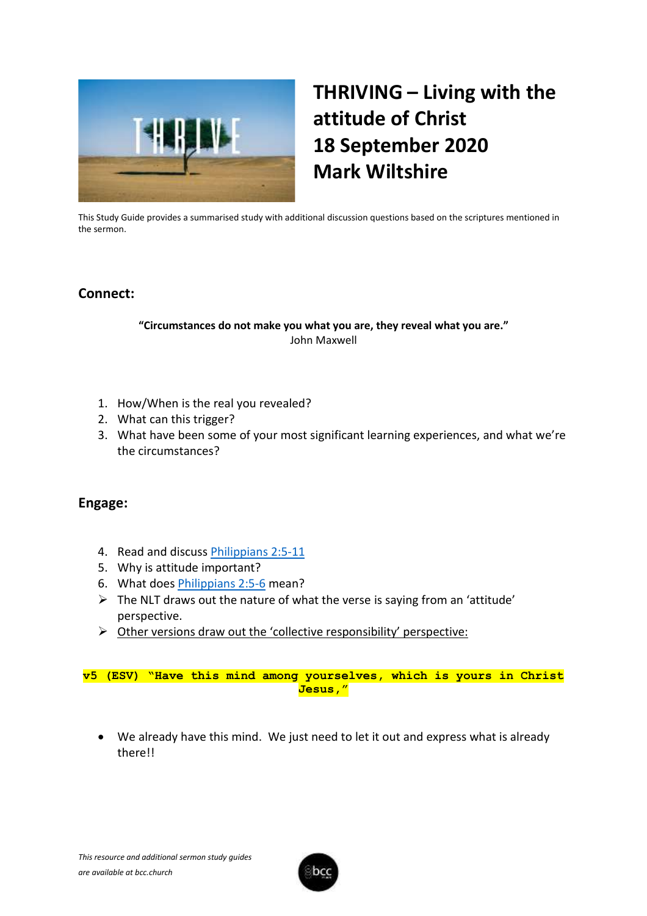

# **THRIVING – Living with the attitude of Christ 18 September 2020 Mark Wiltshire**

This Study Guide provides a summarised study with additional discussion questions based on the scriptures mentioned in the sermon.

# **Connect:**

## **"Circumstances do not make you what you are, they reveal what you are."** John Maxwell

- 1. How/When is the real you revealed?
- 2. What can this trigger?
- 3. What have been some of your most significant learning experiences, and what we're the circumstances?

# **Engage:**

- 4. Read and discuss [Philippians](https://www.biblegateway.com/passage/?search=Philippians+2%3A5-11&version=KJV) 2:5-11
- 5. Why is attitude important?
- 6. What does [Philippians](https://www.biblegateway.com/passage/?search=Philippians+2%3A5-6+&version=KJV) 2:5-6 mean?
- ➢ The NLT draws out the nature of what the verse is saying from an 'attitude' perspective.
- ➢ Other versions draw out the 'collective responsibility' perspective:

**v5 (ESV) "Have this mind among yourselves, which is yours in Christ Jesus,"**

• We already have this mind. We just need to let it out and express what is already there!!

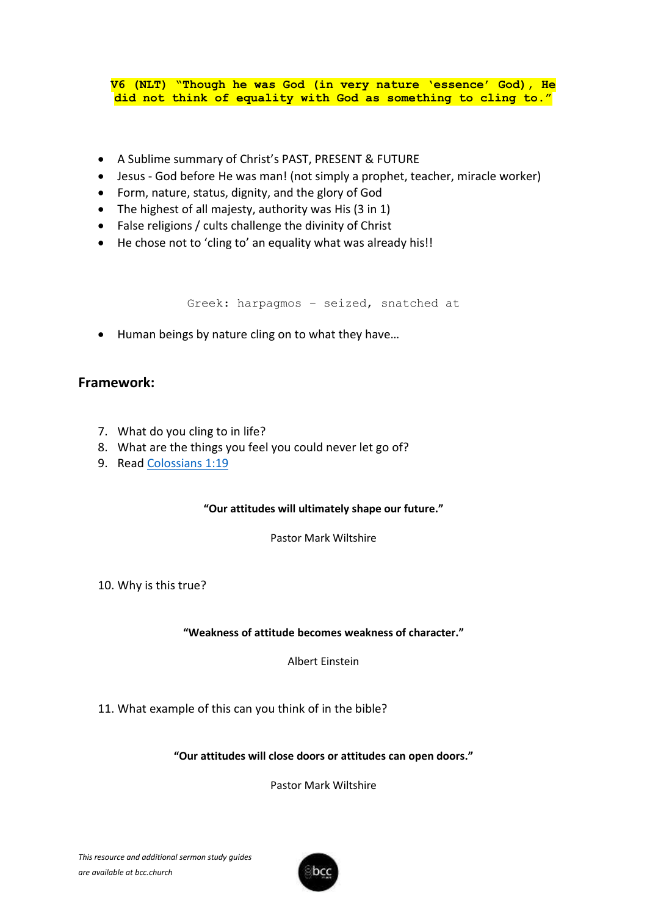**V6 (NLT) "Though he was God (in very nature 'essence' God), He did not think of equality with God as something to cling to."**

- A Sublime summary of Christ's PAST, PRESENT & FUTURE
- Jesus God before He was man! (not simply a prophet, teacher, miracle worker)
- Form, nature, status, dignity, and the glory of God
- The highest of all majesty, authority was His (3 in 1)
- False religions / cults challenge the divinity of Christ
- He chose not to 'cling to' an equality what was already his!!

Greek: harpagmos – seized, snatched at

• Human beings by nature cling on to what they have…

## **Framework:**

- 7. What do you cling to in life?
- 8. What are the things you feel you could never let go of?
- 9. Read [Colossians](https://www.biblegateway.com/passage/?search=Colossians+1%3A19&version=KJV) 1:19

#### **"Our attitudes will ultimately shape our future."**

Pastor Mark Wiltshire

10. Why is this true?

#### **"Weakness of attitude becomes weakness of character."**

Albert Einstein

11. What example of this can you think of in the bible?

**"Our attitudes will close doors or attitudes can open doors."**

Pastor Mark Wiltshire

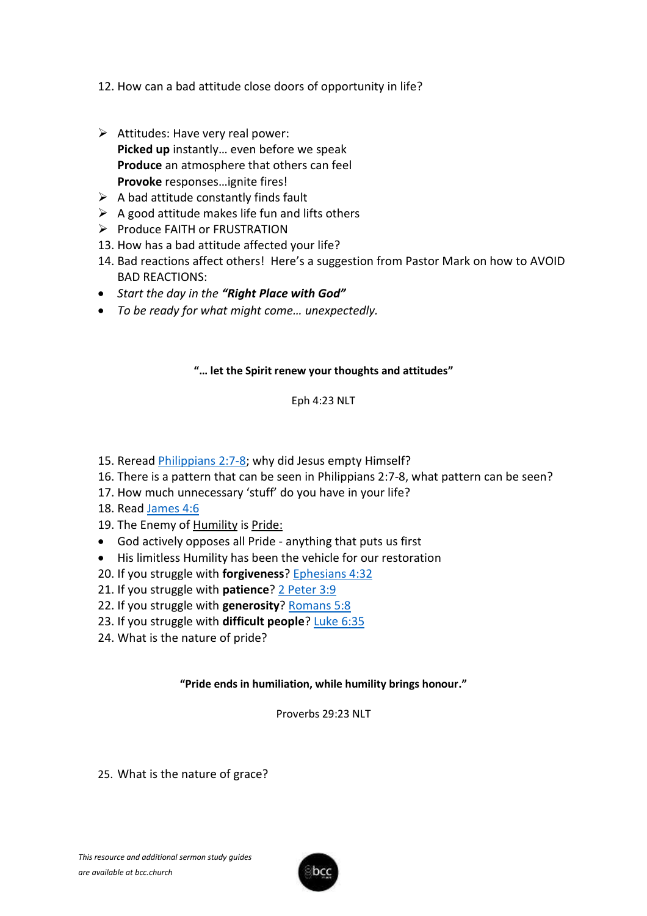12. How can a bad attitude close doors of opportunity in life?

- $\triangleright$  Attitudes: Have very real power: **Picked up** instantly… even before we speak **Produce** an atmosphere that others can feel **Provoke** responses…ignite fires!
- $\triangleright$  A bad attitude constantly finds fault
- $\triangleright$  A good attitude makes life fun and lifts others
- ➢ Produce FAITH or FRUSTRATION
- 13. How has a bad attitude affected your life?
- 14. Bad reactions affect others! Here's a suggestion from Pastor Mark on how to AVOID BAD REACTIONS:
- *Start the day in the "Right Place with God"*
- *To be ready for what might come… unexpectedly.*

## **"… let the Spirit renew your thoughts and attitudes"**

#### Eph 4:23 NLT

- 15. Reread [Philippians](https://www.biblegateway.com/passage/?search=Philippians+2%3A7-8&version=KJV) 2:7-8; why did Jesus empty Himself?
- 16. There is a pattern that can be seen in Philippians 2:7-8, what pattern can be seen?
- 17. How much unnecessary 'stuff' do you have in your life?
- 18. Read [James](https://www.biblegateway.com/passage/?search=James+4%3A6&version=KJV) 4:6
- 19. The Enemy of Humility is Pride:
- God actively opposes all Pride anything that puts us first
- His limitless Humility has been the vehicle for our restoration
- 20. If you struggle with **forgiveness**? [Ephesians](https://www.biblegateway.com/passage/?search=Ephesians+4%3A32&version=KJV) 4:32
- 21. If you struggle with **patience**? 2 [Peter 3:9](https://www.biblegateway.com/passage/?search=2+Peter+3%3A9&version=KJV)
- 22. If you struggle with **generosity**? [Romans](https://www.biblegateway.com/passage/?search=Romans+5%3A8&version=KJV) 5:8
- 23. If you struggle with **difficult people**? [Luke 6:35](https://www.biblegateway.com/passage/?search=Luke+6%3A35&version=KJV)
- 24. What is the nature of pride?

#### **"Pride ends in humiliation, while humility brings honour."**

Proverbs 29:23 NLT

25. What is the nature of grace?